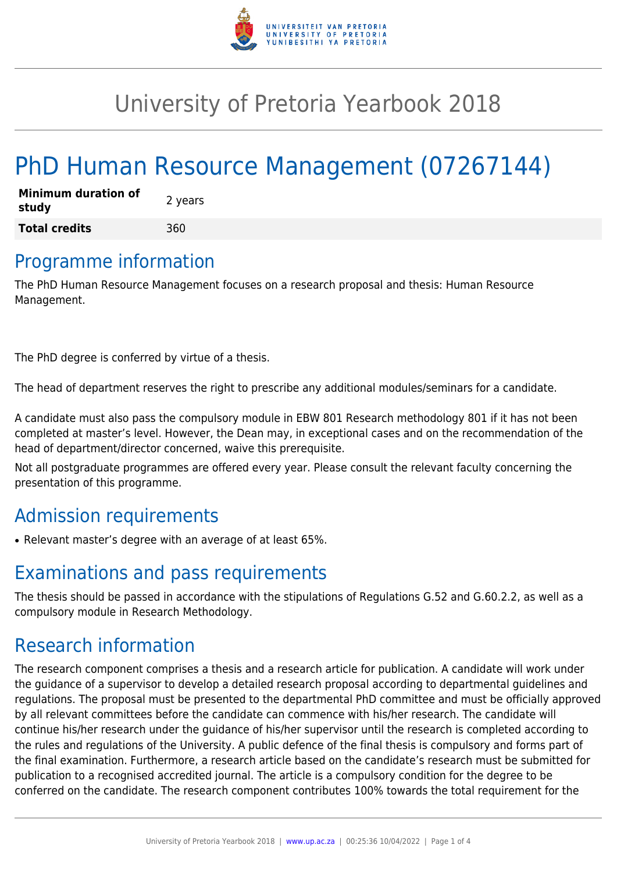

## University of Pretoria Yearbook 2018

# PhD Human Resource Management (07267144)

| <b>Minimum duration of</b><br>study | 2 years |
|-------------------------------------|---------|
| <b>Total credits</b>                | 360     |

#### Programme information

The PhD Human Resource Management focuses on a research proposal and thesis: Human Resource Management.

The PhD degree is conferred by virtue of a thesis.

The head of department reserves the right to prescribe any additional modules/seminars for a candidate.

A candidate must also pass the compulsory module in EBW 801 Research methodology 801 if it has not been completed at master's level. However, the Dean may, in exceptional cases and on the recommendation of the head of department/director concerned, waive this prerequisite.

Not all postgraduate programmes are offered every year. Please consult the relevant faculty concerning the presentation of this programme.

#### Admission requirements

• Relevant master's degree with an average of at least 65%.

### Examinations and pass requirements

The thesis should be passed in accordance with the stipulations of Regulations G.52 and G.60.2.2, as well as a compulsory module in Research Methodology.

### Research information

The research component comprises a thesis and a research article for publication. A candidate will work under the guidance of a supervisor to develop a detailed research proposal according to departmental guidelines and regulations. The proposal must be presented to the departmental PhD committee and must be officially approved by all relevant committees before the candidate can commence with his/her research. The candidate will continue his/her research under the guidance of his/her supervisor until the research is completed according to the rules and regulations of the University. A public defence of the final thesis is compulsory and forms part of the final examination. Furthermore, a research article based on the candidate's research must be submitted for publication to a recognised accredited journal. The article is a compulsory condition for the degree to be conferred on the candidate. The research component contributes 100% towards the total requirement for the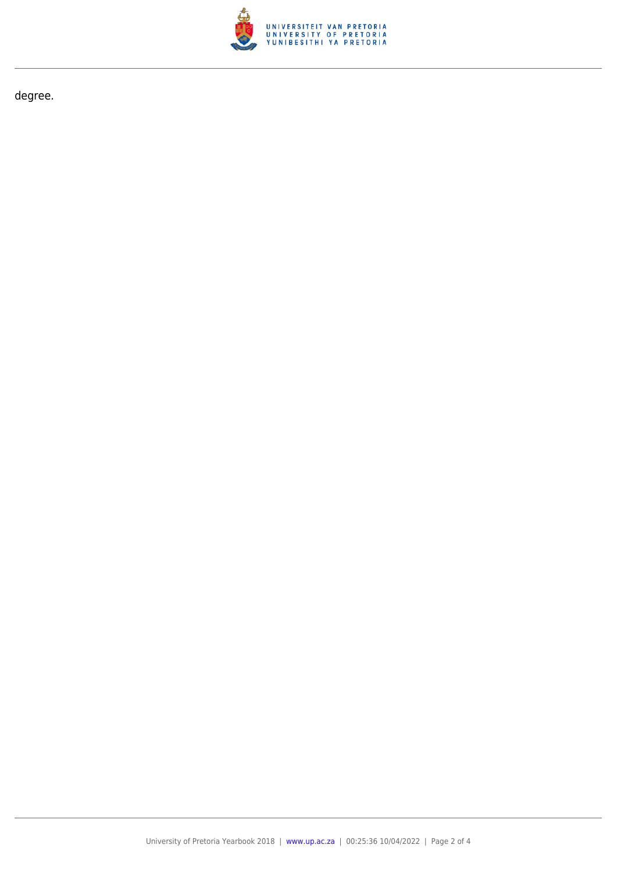

degree.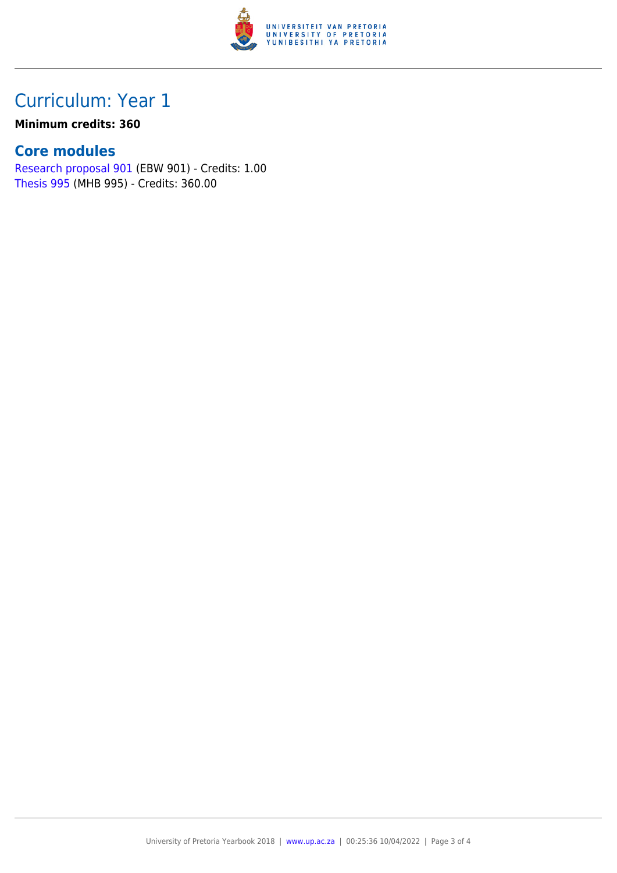

## Curriculum: Year 1

**Minimum credits: 360**

#### **Core modules**

[Research proposal 901](https://www.up.ac.za/faculty-of-education/yearbooks/2018/modules/view/EBW 901) (EBW 901) - Credits: 1.00 [Thesis 995](https://www.up.ac.za/faculty-of-education/yearbooks/2018/modules/view/MHB 995) (MHB 995) - Credits: 360.00